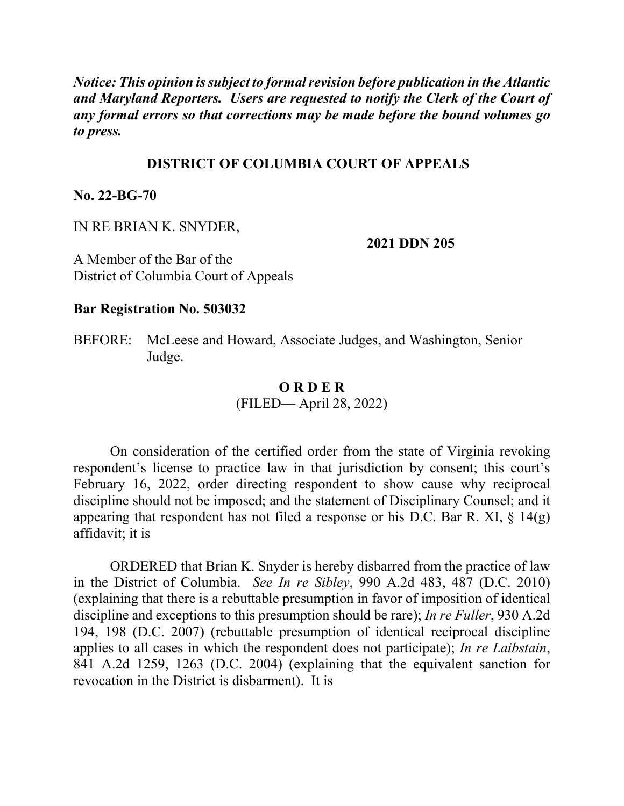*Notice: This opinion is subject to formal revision before publication in the Atlantic and Maryland Reporters. Users are requested to notify the Clerk of the Court of any formal errors so that corrections may be made before the bound volumes go to press.*

## **DISTRICT OF COLUMBIA COURT OF APPEALS**

**No. 22-BG-70**

IN RE BRIAN K. SNYDER,

**2021 DDN 205**

A Member of the Bar of the District of Columbia Court of Appeals

## **Bar Registration No. 503032**

BEFORE: McLeese and Howard, Associate Judges, and Washington, Senior Judge.

## **O R D E R** (FILED— April 28, 2022)

On consideration of the certified order from the state of Virginia revoking respondent's license to practice law in that jurisdiction by consent; this court's February 16, 2022, order directing respondent to show cause why reciprocal discipline should not be imposed; and the statement of Disciplinary Counsel; and it appearing that respondent has not filed a response or his D.C. Bar R. XI,  $\S$  14(g) affidavit; it is

ORDERED that Brian K. Snyder is hereby disbarred from the practice of law in the District of Columbia. *See In re Sibley*, 990 A.2d 483, 487 (D.C. 2010) (explaining that there is a rebuttable presumption in favor of imposition of identical discipline and exceptions to this presumption should be rare); *In re Fuller*, 930 A.2d 194, 198 (D.C. 2007) (rebuttable presumption of identical reciprocal discipline applies to all cases in which the respondent does not participate); *In re Laibstain*, 841 A.2d 1259, 1263 (D.C. 2004) (explaining that the equivalent sanction for revocation in the District is disbarment). It is